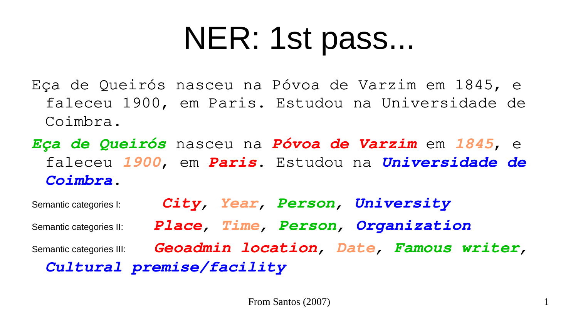## NER: 1st pass...

- Eça de Queirós nasceu na Póvoa de Varzim em 1845, e faleceu 1900, em Paris. Estudou na Universidade de Coimbra.
- *Eça de Queirós* nasceu na *Póvoa de Varzim* em *1845*, e faleceu *1900*, em *Paris*. Estudou na *Universidade de Coimbra*.

Semantic categories I: *City, Year, Person, University* Semantic categories II: *Place, Time, Person, Organization* Semantic categories III: *Geoadmin location, Date, Famous writer, Cultural premise/facility*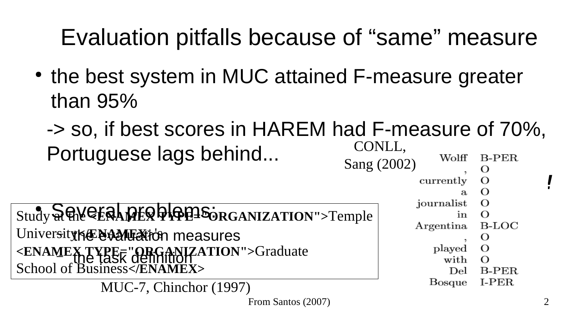## Evaluation pitfalls because of "same" measure

- the best system in MUC attained F-measure greater than 95%
	- -> so, if best scores in HAREM had F-measure of 70%, CONLL, Portuguese lags behind... Wolff  $B-PER$ Sang (2002)

Study & CHALPER PORGANIZATION">Temple Universityk**@@AAMEX**iden measures – the task definition **<ENAMEX TYPE="ORGANIZATION">**Graduate School of Business**</ENAMEX>**

MUC-7, Chinchor (1997)

*Wrong!* currently  $\mathbf{a}$ journalist  $\Omega$ in  $B\text{-}LOC$ Argentina O  $\Omega$ 

- played
	- with  $\Omega$ Del
- **B-PER** I-PER **Bosque**

From Santos (2007) 2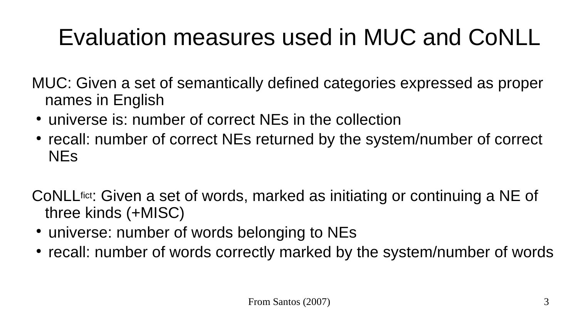## Evaluation measures used in MUC and CoNLL

MUC: Given a set of semantically defined categories expressed as proper names in English

- universe is: number of correct NEs in the collection
- recall: number of correct NEs returned by the system/number of correct NEs

CoNLLfict: Given a set of words, marked as initiating or continuing a NE of three kinds (+MISC)

- universe: number of words belonging to NEs
- recall: number of words correctly marked by the system/number of words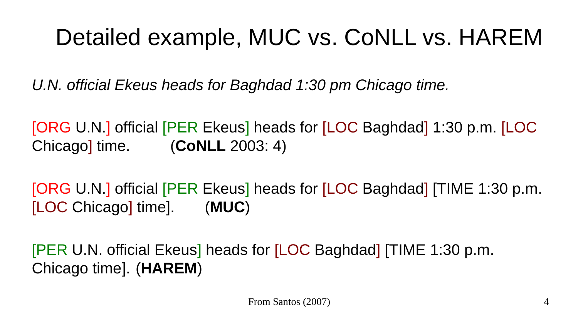#### Detailed example, MUC vs. CoNLL vs. HAREM

*U.N. official Ekeus heads for Baghdad 1:30 pm Chicago time.*

[ORG U.N.] official [PER Ekeus] heads for [LOC Baghdad] 1:30 p.m. [LOC Chicago] time. (**CoNLL** 2003: 4)

[ORG U.N.] official [PER Ekeus] heads for [LOC Baghdad] [TIME 1:30 p.m. [LOC Chicago] time]. (**MUC**)

[PER U.N. official Ekeus] heads for [LOC Baghdad] [TIME 1:30 p.m. Chicago time]. (**HAREM**)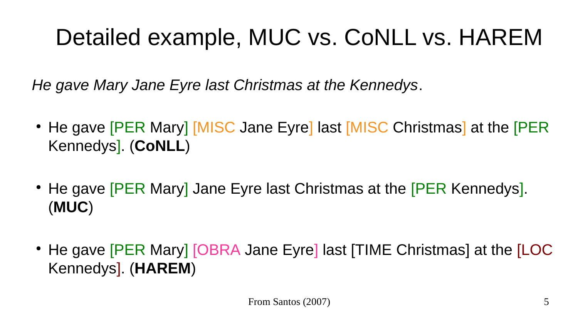#### Detailed example, MUC vs. CoNLL vs. HAREM

*He gave Mary Jane Eyre last Christmas at the Kennedys*.

- He gave **[PER Mary] [MISC Jane Eyre] last [MISC Christmas] at the [PER** Kennedys]. (**CoNLL**)
- He gave **[PER Mary]** Jane Eyre last Christmas at the **[PER Kennedys**]. (**MUC**)
- He gave **[PER Mary]** [OBRA Jane Eyre] last **[TIME Christmas]** at the **[LOC** Kennedys]. (**HAREM**)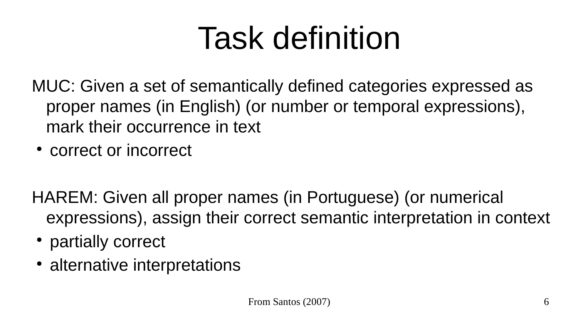# Task definition

MUC: Given a set of semantically defined categories expressed as proper names (in English) (or number or temporal expressions), mark their occurrence in text

• correct or incorrect

HAREM: Given all proper names (in Portuguese) (or numerical expressions), assign their correct semantic interpretation in context

- partially correct
- alternative interpretations